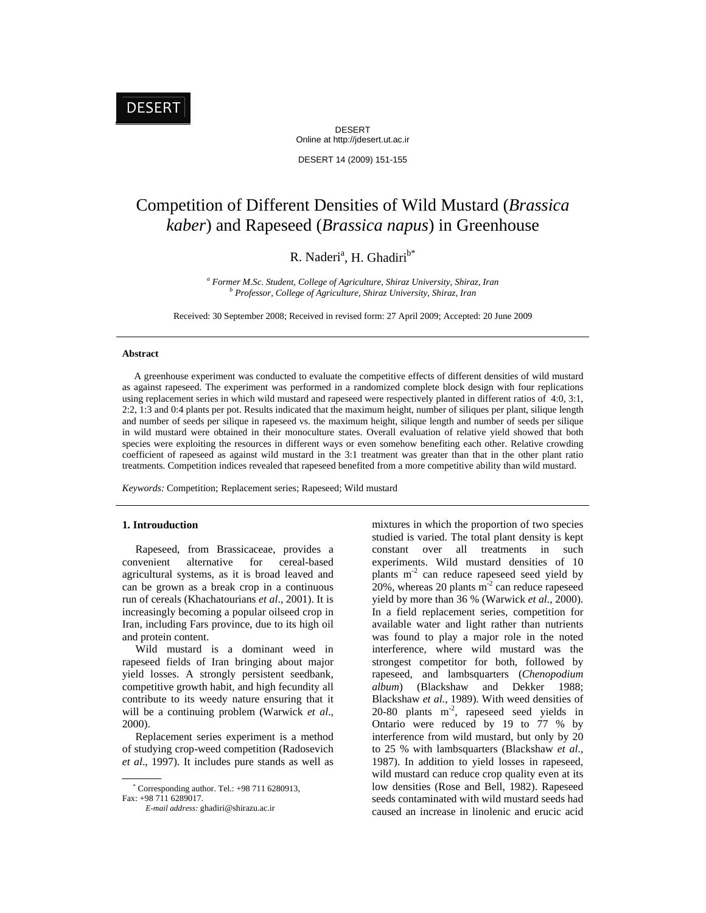DESERT Online at http://jdesert.ut.ac.ir

DESERT 14 (2009) 151-155

# Competition of Different Densities of Wild Mustard (*Brassica kaber*) and Rapeseed (*Brassica napus*) in Greenhouse

# R. Naderi<sup>a</sup>, H. Ghadiri<sup>b\*</sup>

<sup>a</sup> Former M.Sc. Student, College of Agriculture, Shiraz University, Shiraz, Iran *b* Duafessen, Callage of Agriculture, Shiraz University, Shiraz, Iran  *Professor, College of Agriculture, Shiraz University, Shiraz, Iran* 

Received: 30 September 2008; Received in revised form: 27 April 2009; Accepted: 20 June 2009

## **Abstract**

 A greenhouse experiment was conducted to evaluate the competitive effects of different densities of wild mustard as against rapeseed. The experiment was performed in a randomized complete block design with four replications using replacement series in which wild mustard and rapeseed were respectively planted in different ratios of 4:0, 3:1, 2:2, 1:3 and 0:4 plants per pot. Results indicated that the maximum height, number of siliques per plant, silique length and number of seeds per silique in rapeseed vs. the maximum height, silique length and number of seeds per silique in wild mustard were obtained in their monoculture states. Overall evaluation of relative yield showed that both species were exploiting the resources in different ways or even somehow benefiting each other. Relative crowding coefficient of rapeseed as against wild mustard in the 3:1 treatment was greater than that in the other plant ratio treatments. Competition indices revealed that rapeseed benefited from a more competitive ability than wild mustard.

*Keywords:* Competition; Replacement series; Rapeseed; Wild mustard

#### **1. Introuduction**

 Rapeseed, from Brassicaceae, provides a convenient alternative for cereal-based agricultural systems, as it is broad leaved and can be grown as a break crop in a continuous run of cereals (Khachatourians *et al*., 2001). It is increasingly becoming a popular oilseed crop in Iran, including Fars province, due to its high oil and protein content.

 Wild mustard is a dominant weed in rapeseed fields of Iran bringing about major yield losses. A strongly persistent seedbank, competitive growth habit, and high fecundity all contribute to its weedy nature ensuring that it will be a continuing problem (Warwick *et al*., 2000).

 Replacement series experiment is a method of studying crop-weed competition (Radosevich *et al*., 1997). It includes pure stands as well as

Corresponding author. Tel.: +98 711 6280913,

mixtures in which the proportion of two species studied is varied. The total plant density is kept constant over all treatments in such experiments. Wild mustard densities of 10 plants  $m<sup>2</sup>$  can reduce rapeseed seed yield by 20%, whereas 20 plants  $m<sup>2</sup>$  can reduce rapeseed yield by more than 36 % (Warwick *et al.*, 2000). In a field replacement series, competition for available water and light rather than nutrients was found to play a major role in the noted interference, where wild mustard was the strongest competitor for both, followed by rapeseed, and lambsquarters (*Chenopodium album*) (Blackshaw and Dekker 1988; Blackshaw *et al.*, 1989). With weed densities of 20-80 plants  $m<sup>2</sup>$ , rapeseed seed yields in Ontario were reduced by 19 to 77 % by interference from wild mustard, but only by 20 to 25 % with lambsquarters (Blackshaw *et al.*, 1987). In addition to yield losses in rapeseed, wild mustard can reduce crop quality even at its low densities (Rose and Bell, 1982). Rapeseed seeds contaminated with wild mustard seeds had caused an increase in linolenic and erucic acid

Fax: +98 711 6289017.

*E-mail address:* ghadiri@shirazu.ac.ir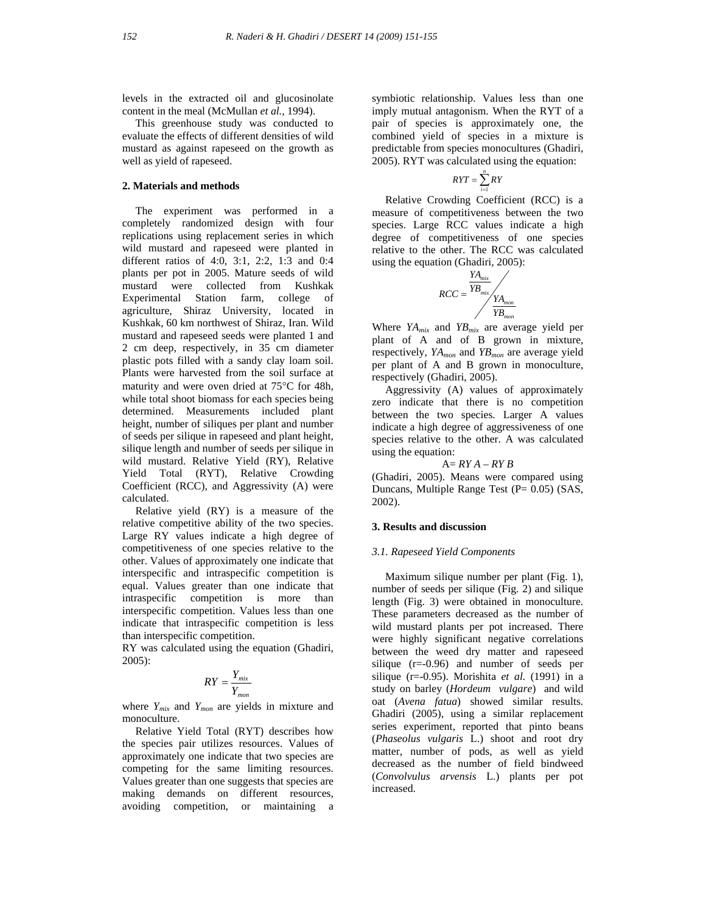levels in the extracted oil and glucosinolate content in the meal (McMullan *et al.,* 1994).

 This greenhouse study was conducted to evaluate the effects of different densities of wild mustard as against rapeseed on the growth as well as yield of rapeseed.

#### **2. Materials and methods**

 The experiment was performed in a completely randomized design with four replications using replacement series in which wild mustard and rapeseed were planted in different ratios of 4:0, 3:1, 2:2, 1:3 and 0:4 plants per pot in 2005. Mature seeds of wild mustard were collected from Kushkak Experimental Station farm, college of agriculture, Shiraz University, located in Kushkak, 60 km northwest of Shiraz, Iran. Wild mustard and rapeseed seeds were planted 1 and 2 cm deep, respectively, in 35 cm diameter plastic pots filled with a sandy clay loam soil. Plants were harvested from the soil surface at maturity and were oven dried at 75°C for 48h, while total shoot biomass for each species being determined. Measurements included plant height, number of siliques per plant and number of seeds per silique in rapeseed and plant height, silique length and number of seeds per silique in wild mustard. Relative Yield (RY), Relative Yield Total (RYT), Relative Crowding Coefficient (RCC), and Aggressivity (A) were calculated.

 Relative yield (RY) is a measure of the relative competitive ability of the two species. Large RY values indicate a high degree of competitiveness of one species relative to the other. Values of approximately one indicate that interspecific and intraspecific competition is equal. Values greater than one indicate that intraspecific competition is more than interspecific competition. Values less than one indicate that intraspecific competition is less than interspecific competition.

RY was calculated using the equation (Ghadiri, 2005):

$$
RY = \frac{Y_{mix}}{Y_{mon}}
$$

where *Ymix* and *Ymon* are yields in mixture and monoculture.

 Relative Yield Total (RYT) describes how the species pair utilizes resources. Values of approximately one indicate that two species are competing for the same limiting resources. Values greater than one suggests that species are making demands on different resources, avoiding competition, or maintaining a symbiotic relationship. Values less than one imply mutual antagonism. When the RYT of a pair of species is approximately one, the combined yield of species in a mixture is predictable from species monocultures (Ghadiri, 2005). RYT was calculated using the equation:

$$
RYT = \sum_{i=1}^{n} RY
$$

 Relative Crowding Coefficient (RCC) is a measure of competitiveness between the two species. Large RCC values indicate a high degree of competitiveness of one species relative to the other. The RCC was calculated using the equation (Ghadiri, 2005):

$$
RCC = \frac{YA_{mix}}{YB_{mix}} \times \frac{YA_{mon}}{YB_{mon}}
$$

Where *YAmix* and *YBmix* are average yield per plant of A and of B grown in mixture, respectively, *YAmon* and *YBmon* are average yield per plant of A and B grown in monoculture, respectively (Ghadiri, 2005).

 Aggressivity (A) values of approximately zero indicate that there is no competition between the two species. Larger A values indicate a high degree of aggressiveness of one species relative to the other. A was calculated using the equation:

# A= *RY A – RY B*

(Ghadiri, 2005). Means were compared using Duncans, Multiple Range Test (P= 0.05) (SAS, 2002).

#### **3. Results and discussion**

#### *3.1. Rapeseed Yield Components*

 Maximum silique number per plant (Fig. 1), number of seeds per silique (Fig. 2) and silique length (Fig. 3) were obtained in monoculture. These parameters decreased as the number of wild mustard plants per pot increased. There were highly significant negative correlations between the weed dry matter and rapeseed silique (r=-0.96) and number of seeds per silique (r=-0.95). Morishita *et al.* (1991) in a study on barley (*Hordeum vulgare*) and wild oat (*Avena fatua*) showed similar results. Ghadiri (2005), using a similar replacement series experiment, reported that pinto beans (*Phaseolus vulgaris* L.) shoot and root dry matter, number of pods, as well as yield decreased as the number of field bindweed (*Convolvulus arvensis* L.) plants per pot increased.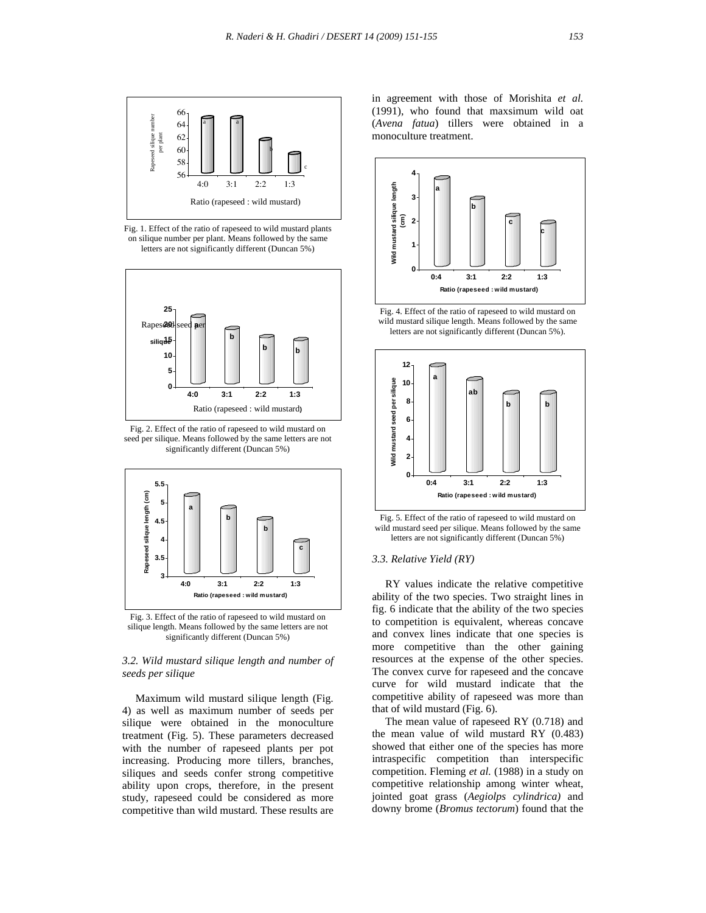

Fig. 1. Effect of the ratio of rapeseed to wild mustard plants on silique number per plant. Means followed by the same letters are not significantly different (Duncan 5%)



Fig. 2. Effect of the ratio of rapeseed to wild mustard on seed per silique. Means followed by the same letters are not significantly different (Duncan 5%)



Fig. 3. Effect of the ratio of rapeseed to wild mustard on silique length. Means followed by the same letters are not significantly different (Duncan 5%)

### *3.2. Wild mustard silique length and number of seeds per silique*

 Maximum wild mustard silique length (Fig. 4) as well as maximum number of seeds per silique were obtained in the monoculture treatment (Fig. 5). These parameters decreased with the number of rapeseed plants per pot increasing. Producing more tillers, branches, siliques and seeds confer strong competitive ability upon crops, therefore, in the present study, rapeseed could be considered as more competitive than wild mustard. These results are

in agreement with those of Morishita *et al.* (1991), who found that maxsimum wild oat (*Avena fatua*) tillers were obtained in a monoculture treatment.



Fig. 4. Effect of the ratio of rapeseed to wild mustard on wild mustard silique length. Means followed by the same letters are not significantly different (Duncan 5%).



Fig. 5. Effect of the ratio of rapeseed to wild mustard on wild mustard seed per silique. Means followed by the same letters are not significantly different (Duncan 5%)

#### *3.3. Relative Yield (RY)*

 RY values indicate the relative competitive ability of the two species. Two straight lines in fig. 6 indicate that the ability of the two species to competition is equivalent, whereas concave and convex lines indicate that one species is more competitive than the other gaining resources at the expense of the other species. The convex curve for rapeseed and the concave curve for wild mustard indicate that the competitive ability of rapeseed was more than that of wild mustard (Fig. 6).

 The mean value of rapeseed RY (0.718) and the mean value of wild mustard RY (0.483) showed that either one of the species has more intraspecific competition than interspecific competition. Fleming *et al.* (1988) in a study on competitive relationship among winter wheat, jointed goat grass (*Aegiolps cylindrica)* and downy brome (*Bromus tectorum*) found that the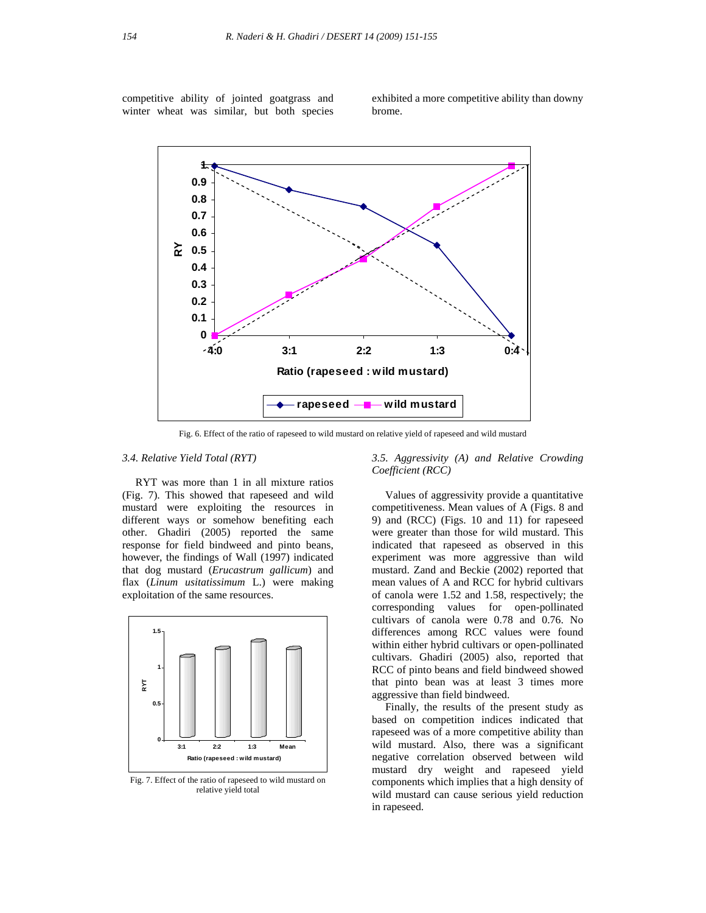competitive ability of jointed goatgrass and winter wheat was similar, but both species

exhibited a more competitive ability than downy brome.



Fig. 6. Effect of the ratio of rapeseed to wild mustard on relative yield of rapeseed and wild mustard

# *3.4. Relative Yield Total (RYT)*

 RYT was more than 1 in all mixture ratios (Fig. 7). This showed that rapeseed and wild mustard were exploiting the resources in different ways or somehow benefiting each other. Ghadiri (2005) reported the same response for field bindweed and pinto beans, however, the findings of Wall (1997) indicated that dog mustard (*Erucastrum gallicum*) and flax (*Linum usitatissimum* L.) were making exploitation of the same resources.



Fig. 7. Effect of the ratio of rapeseed to wild mustard on relative yield total

*3.5. Aggressivity (A) and Relative Crowding Coefficient (RCC)* 

 Values of aggressivity provide a quantitative competitiveness. Mean values of A (Figs. 8 and 9) and (RCC) (Figs. 10 and 11) for rapeseed were greater than those for wild mustard. This indicated that rapeseed as observed in this experiment was more aggressive than wild mustard. Zand and Beckie (2002) reported that mean values of A and RCC for hybrid cultivars of canola were 1.52 and 1.58, respectively; the corresponding values for open-pollinated cultivars of canola were 0.78 and 0.76. No differences among RCC values were found within either hybrid cultivars or open-pollinated cultivars. Ghadiri (2005) also, reported that RCC of pinto beans and field bindweed showed that pinto bean was at least 3 times more aggressive than field bindweed.

 Finally, the results of the present study as based on competition indices indicated that rapeseed was of a more competitive ability than wild mustard. Also, there was a significant negative correlation observed between wild mustard dry weight and rapeseed yield components which implies that a high density of wild mustard can cause serious yield reduction in rapeseed.